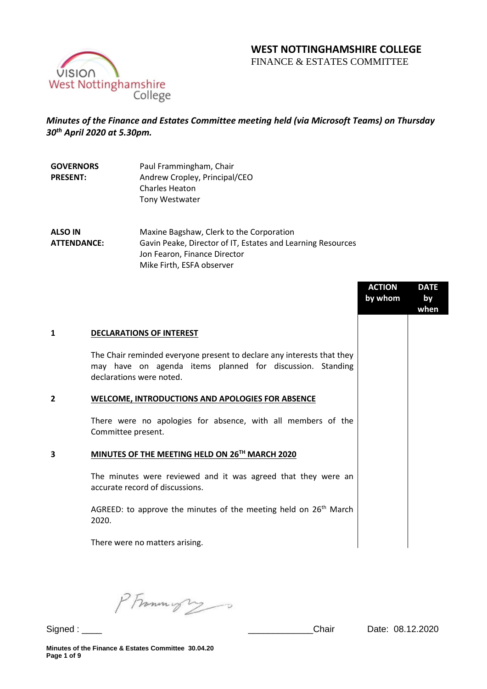# **WEST NOTTINGHAMSHIRE COLLEGE**

FINANCE & ESTATES COMMITTEE



## *Minutes of the Finance and Estates Committee meeting held (via Microsoft Teams) on Thursday 30th April 2020 at 5.30pm.*

| <b>GOVERNORS</b> | Paul Frammingham, Chair       |
|------------------|-------------------------------|
| <b>PRESENT:</b>  | Andrew Cropley, Principal/CEO |
|                  | <b>Charles Heaton</b>         |
|                  | <b>Tony Westwater</b>         |

**ALSO IN ATTENDANCE:** Maxine Bagshaw, Clerk to the Corporation Gavin Peake, Director of IT, Estates and Learning Resources Jon Fearon, Finance Director Mike Firth, ESFA observer

|                |                                                                                                                                                                 | <b>ACTION</b><br>by whom | <b>DATE</b><br>by<br>when |
|----------------|-----------------------------------------------------------------------------------------------------------------------------------------------------------------|--------------------------|---------------------------|
| 1              | <b>DECLARATIONS OF INTEREST</b>                                                                                                                                 |                          |                           |
|                | The Chair reminded everyone present to declare any interests that they<br>may have on agenda items planned for discussion. Standing<br>declarations were noted. |                          |                           |
| $\overline{2}$ | <b>WELCOME, INTRODUCTIONS AND APOLOGIES FOR ABSENCE</b>                                                                                                         |                          |                           |
|                | There were no apologies for absence, with all members of the<br>Committee present.                                                                              |                          |                           |
| 3              | MINUTES OF THE MEETING HELD ON 26TH MARCH 2020                                                                                                                  |                          |                           |
|                | The minutes were reviewed and it was agreed that they were an<br>accurate record of discussions.                                                                |                          |                           |
|                | AGREED: to approve the minutes of the meeting held on $26th$ March<br>2020.                                                                                     |                          |                           |
|                | There were no matters arising.                                                                                                                                  |                          |                           |

PFrommigry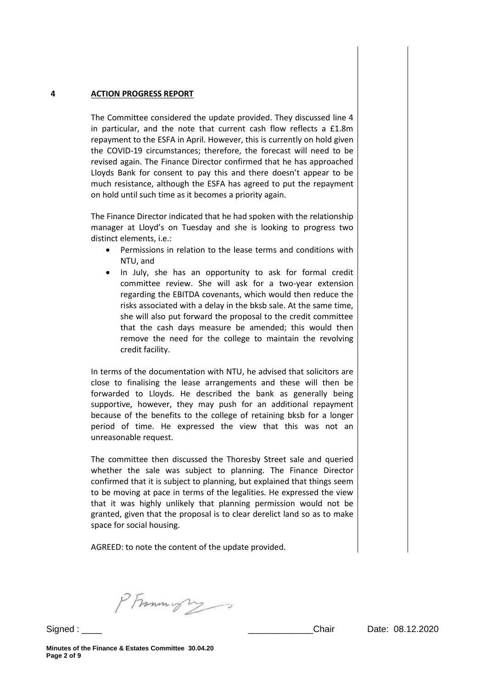#### **4 ACTION PROGRESS REPORT**

The Committee considered the update provided. They discussed line 4 in particular, and the note that current cash flow reflects a £1.8m repayment to the ESFA in April. However, this is currently on hold given the COVID-19 circumstances; therefore, the forecast will need to be revised again. The Finance Director confirmed that he has approached Lloyds Bank for consent to pay this and there doesn't appear to be much resistance, although the ESFA has agreed to put the repayment on hold until such time as it becomes a priority again.

The Finance Director indicated that he had spoken with the relationship manager at Lloyd's on Tuesday and she is looking to progress two distinct elements, i.e.:

- Permissions in relation to the lease terms and conditions with NTU, and
- In July, she has an opportunity to ask for formal credit committee review. She will ask for a two-year extension regarding the EBITDA covenants, which would then reduce the risks associated with a delay in the bksb sale. At the same time, she will also put forward the proposal to the credit committee that the cash days measure be amended; this would then remove the need for the college to maintain the revolving credit facility.

In terms of the documentation with NTU, he advised that solicitors are close to finalising the lease arrangements and these will then be forwarded to Lloyds. He described the bank as generally being supportive, however, they may push for an additional repayment because of the benefits to the college of retaining bksb for a longer period of time. He expressed the view that this was not an unreasonable request.

The committee then discussed the Thoresby Street sale and queried whether the sale was subject to planning. The Finance Director confirmed that it is subject to planning, but explained that things seem to be moving at pace in terms of the legalities. He expressed the view that it was highly unlikely that planning permission would not be granted, given that the proposal is to clear derelict land so as to make space for social housing.

AGREED: to note the content of the update provided.

PFrammight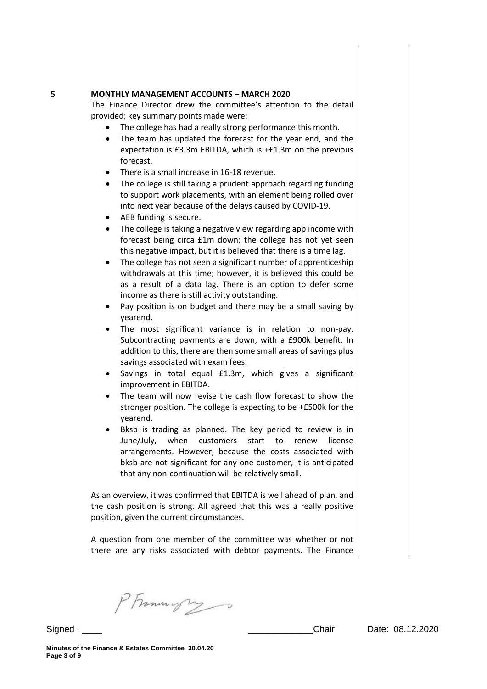#### **5 MONTHLY MANAGEMENT ACCOUNTS – MARCH 2020**

The Finance Director drew the committee's attention to the detail provided; key summary points made were:

- The college has had a really strong performance this month.
- The team has updated the forecast for the year end, and the expectation is £3.3m EBITDA, which is +£1.3m on the previous forecast.
- There is a small increase in 16-18 revenue.
- The college is still taking a prudent approach regarding funding to support work placements, with an element being rolled over into next year because of the delays caused by COVID-19.
- AEB funding is secure.
- The college is taking a negative view regarding app income with forecast being circa £1m down; the college has not yet seen this negative impact, but it is believed that there is a time lag.
- The college has not seen a significant number of apprenticeship withdrawals at this time; however, it is believed this could be as a result of a data lag. There is an option to defer some income as there is still activity outstanding.
- Pay position is on budget and there may be a small saving by yearend.
- The most significant variance is in relation to non-pay. Subcontracting payments are down, with a £900k benefit. In addition to this, there are then some small areas of savings plus savings associated with exam fees.
- Savings in total equal £1.3m, which gives a significant improvement in EBITDA.
- The team will now revise the cash flow forecast to show the stronger position. The college is expecting to be +£500k for the yearend.
- Bksb is trading as planned. The key period to review is in June/July, when customers start to renew license arrangements. However, because the costs associated with bksb are not significant for any one customer, it is anticipated that any non-continuation will be relatively small.

As an overview, it was confirmed that EBITDA is well ahead of plan, and the cash position is strong. All agreed that this was a really positive position, given the current circumstances.

A question from one member of the committee was whether or not there are any risks associated with debtor payments. The Finance

PFramingry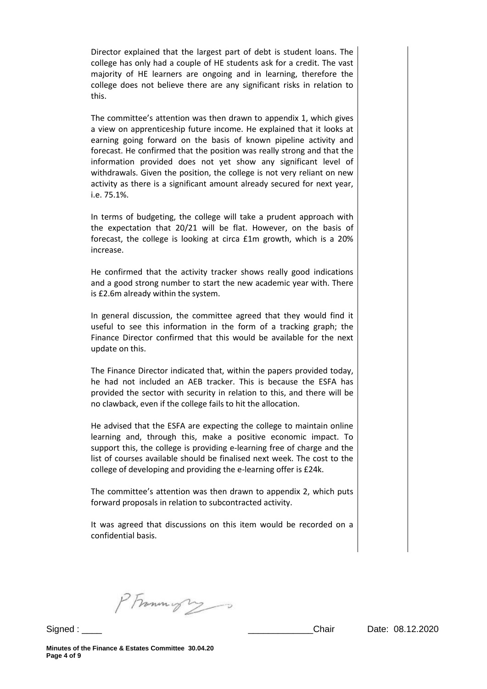Director explained that the largest part of debt is student loans. The college has only had a couple of HE students ask for a credit. The vast majority of HE learners are ongoing and in learning, therefore the college does not believe there are any significant risks in relation to this.

The committee's attention was then drawn to appendix 1, which gives a view on apprenticeship future income. He explained that it looks at earning going forward on the basis of known pipeline activity and forecast. He confirmed that the position was really strong and that the information provided does not yet show any significant level of withdrawals. Given the position, the college is not very reliant on new activity as there is a significant amount already secured for next year, i.e. 75.1%.

In terms of budgeting, the college will take a prudent approach with the expectation that 20/21 will be flat. However, on the basis of forecast, the college is looking at circa £1m growth, which is a 20% increase.

He confirmed that the activity tracker shows really good indications and a good strong number to start the new academic year with. There is £2.6m already within the system.

In general discussion, the committee agreed that they would find it useful to see this information in the form of a tracking graph; the Finance Director confirmed that this would be available for the next update on this.

The Finance Director indicated that, within the papers provided today, he had not included an AEB tracker. This is because the ESFA has provided the sector with security in relation to this, and there will be no clawback, even if the college fails to hit the allocation.

He advised that the ESFA are expecting the college to maintain online learning and, through this, make a positive economic impact. To support this, the college is providing e-learning free of charge and the list of courses available should be finalised next week. The cost to the college of developing and providing the e-learning offer is £24k.

The committee's attention was then drawn to appendix 2, which puts forward proposals in relation to subcontracted activity.

It was agreed that discussions on this item would be recorded on a confidential basis.

PFrommys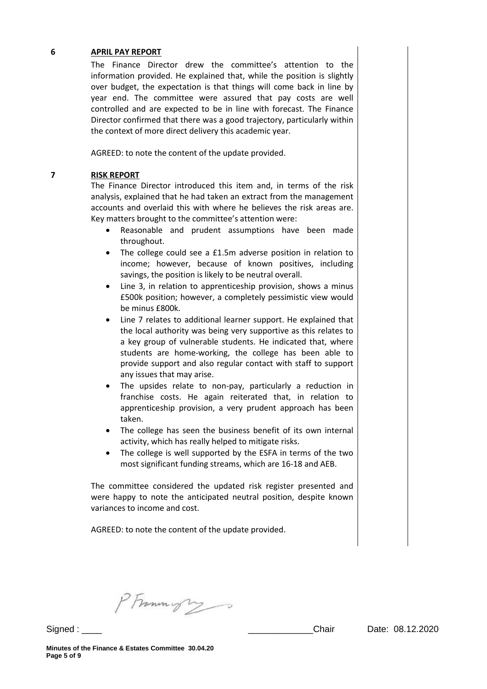#### **6 APRIL PAY REPORT**

The Finance Director drew the committee's attention to the information provided. He explained that, while the position is slightly over budget, the expectation is that things will come back in line by year end. The committee were assured that pay costs are well controlled and are expected to be in line with forecast. The Finance Director confirmed that there was a good trajectory, particularly within the context of more direct delivery this academic year.

AGREED: to note the content of the update provided.

#### **7 RISK REPORT**

The Finance Director introduced this item and, in terms of the risk analysis, explained that he had taken an extract from the management accounts and overlaid this with where he believes the risk areas are. Key matters brought to the committee's attention were:

- Reasonable and prudent assumptions have been made throughout.
- The college could see a £1.5m adverse position in relation to income; however, because of known positives, including savings, the position is likely to be neutral overall.
- Line 3, in relation to apprenticeship provision, shows a minus £500k position; however, a completely pessimistic view would be minus £800k.
- Line 7 relates to additional learner support. He explained that the local authority was being very supportive as this relates to a key group of vulnerable students. He indicated that, where students are home-working, the college has been able to provide support and also regular contact with staff to support any issues that may arise.
- The upsides relate to non-pay, particularly a reduction in franchise costs. He again reiterated that, in relation to apprenticeship provision, a very prudent approach has been taken.
- The college has seen the business benefit of its own internal activity, which has really helped to mitigate risks.
- The college is well supported by the ESFA in terms of the two most significant funding streams, which are 16-18 and AEB.

The committee considered the updated risk register presented and were happy to note the anticipated neutral position, despite known variances to income and cost.

AGREED: to note the content of the update provided.

PFrammigry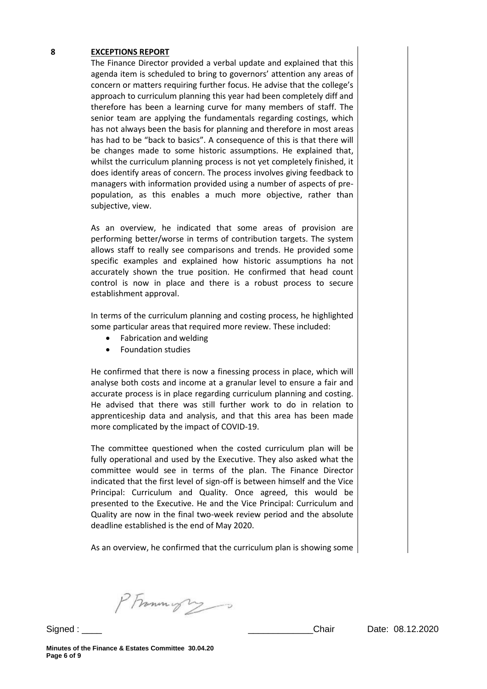#### **8 EXCEPTIONS REPORT**

The Finance Director provided a verbal update and explained that this agenda item is scheduled to bring to governors' attention any areas of concern or matters requiring further focus. He advise that the college's approach to curriculum planning this year had been completely diff and therefore has been a learning curve for many members of staff. The senior team are applying the fundamentals regarding costings, which has not always been the basis for planning and therefore in most areas has had to be "back to basics". A consequence of this is that there will be changes made to some historic assumptions. He explained that, whilst the curriculum planning process is not yet completely finished, it does identify areas of concern. The process involves giving feedback to managers with information provided using a number of aspects of prepopulation, as this enables a much more objective, rather than subjective, view.

As an overview, he indicated that some areas of provision are performing better/worse in terms of contribution targets. The system allows staff to really see comparisons and trends. He provided some specific examples and explained how historic assumptions ha not accurately shown the true position. He confirmed that head count control is now in place and there is a robust process to secure establishment approval.

In terms of the curriculum planning and costing process, he highlighted some particular areas that required more review. These included:

- Fabrication and welding
- Foundation studies

He confirmed that there is now a finessing process in place, which will analyse both costs and income at a granular level to ensure a fair and accurate process is in place regarding curriculum planning and costing. He advised that there was still further work to do in relation to apprenticeship data and analysis, and that this area has been made more complicated by the impact of COVID-19.

The committee questioned when the costed curriculum plan will be fully operational and used by the Executive. They also asked what the committee would see in terms of the plan. The Finance Director indicated that the first level of sign-off is between himself and the Vice Principal: Curriculum and Quality. Once agreed, this would be presented to the Executive. He and the Vice Principal: Curriculum and Quality are now in the final two-week review period and the absolute deadline established is the end of May 2020.

As an overview, he confirmed that the curriculum plan is showing some

PFrammight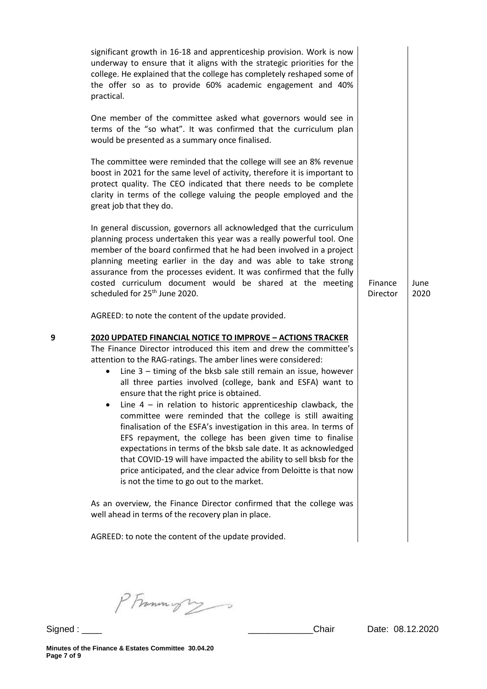|   | significant growth in 16-18 and apprenticeship provision. Work is now<br>underway to ensure that it aligns with the strategic priorities for the<br>college. He explained that the college has completely reshaped some of<br>the offer so as to provide 60% academic engagement and 40%<br>practical.<br>One member of the committee asked what governors would see in<br>terms of the "so what". It was confirmed that the curriculum plan<br>would be presented as a summary once finalised.<br>The committee were reminded that the college will see an 8% revenue<br>boost in 2021 for the same level of activity, therefore it is important to<br>protect quality. The CEO indicated that there needs to be complete<br>clarity in terms of the college valuing the people employed and the<br>great job that they do.                                                                                                                                                         |                     |              |
|---|--------------------------------------------------------------------------------------------------------------------------------------------------------------------------------------------------------------------------------------------------------------------------------------------------------------------------------------------------------------------------------------------------------------------------------------------------------------------------------------------------------------------------------------------------------------------------------------------------------------------------------------------------------------------------------------------------------------------------------------------------------------------------------------------------------------------------------------------------------------------------------------------------------------------------------------------------------------------------------------|---------------------|--------------|
|   | In general discussion, governors all acknowledged that the curriculum<br>planning process undertaken this year was a really powerful tool. One<br>member of the board confirmed that he had been involved in a project<br>planning meeting earlier in the day and was able to take strong<br>assurance from the processes evident. It was confirmed that the fully<br>costed curriculum document would be shared at the meeting<br>scheduled for 25 <sup>th</sup> June 2020.                                                                                                                                                                                                                                                                                                                                                                                                                                                                                                         | Finance<br>Director | June<br>2020 |
| 9 | AGREED: to note the content of the update provided.<br>2020 UPDATED FINANCIAL NOTICE TO IMPROVE - ACTIONS TRACKER<br>The Finance Director introduced this item and drew the committee's<br>attention to the RAG-ratings. The amber lines were considered:<br>Line $3$ – timing of the bksb sale still remain an issue, however<br>$\bullet$<br>all three parties involved (college, bank and ESFA) want to<br>ensure that the right price is obtained.<br>• Line 4 – in relation to historic apprenticeship clawback, the<br>committee were reminded that the college is still awaiting<br>finalisation of the ESFA's investigation in this area. In terms of<br>EFS repayment, the college has been given time to finalise<br>expectations in terms of the bksb sale date. It as acknowledged<br>that COVID-19 will have impacted the ability to sell bksb for the<br>price anticipated, and the clear advice from Deloitte is that now<br>is not the time to go out to the market. |                     |              |
|   | As an overview, the Finance Director confirmed that the college was<br>well ahead in terms of the recovery plan in place.                                                                                                                                                                                                                                                                                                                                                                                                                                                                                                                                                                                                                                                                                                                                                                                                                                                            |                     |              |
|   | AGREED: to note the content of the update provided.                                                                                                                                                                                                                                                                                                                                                                                                                                                                                                                                                                                                                                                                                                                                                                                                                                                                                                                                  |                     |              |

PFrammigry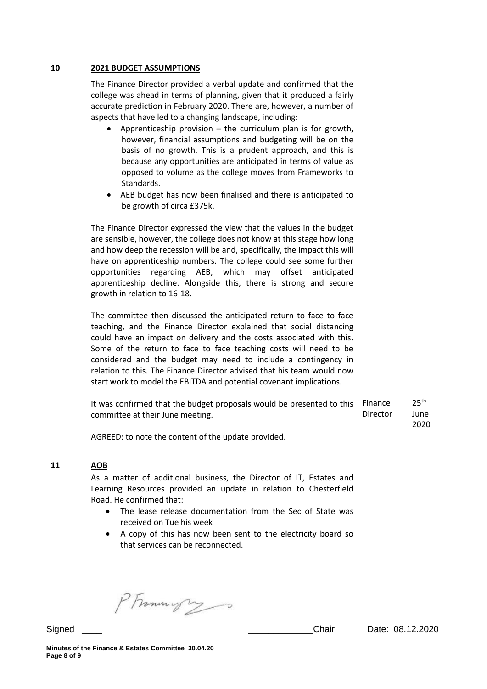|            | The Finance Director provided a verbal update and confirmed that the                                                                                                                                                                                                                                                                                                                                                                                                                                       |                     |                                  |
|------------|------------------------------------------------------------------------------------------------------------------------------------------------------------------------------------------------------------------------------------------------------------------------------------------------------------------------------------------------------------------------------------------------------------------------------------------------------------------------------------------------------------|---------------------|----------------------------------|
|            | college was ahead in terms of planning, given that it produced a fairly<br>accurate prediction in February 2020. There are, however, a number of<br>aspects that have led to a changing landscape, including:                                                                                                                                                                                                                                                                                              |                     |                                  |
|            | Apprenticeship provision $-$ the curriculum plan is for growth,<br>however, financial assumptions and budgeting will be on the<br>basis of no growth. This is a prudent approach, and this is<br>because any opportunities are anticipated in terms of value as<br>opposed to volume as the college moves from Frameworks to<br>Standards.<br>AEB budget has now been finalised and there is anticipated to<br>be growth of circa £375k.                                                                   |                     |                                  |
|            | The Finance Director expressed the view that the values in the budget<br>are sensible, however, the college does not know at this stage how long<br>and how deep the recession will be and, specifically, the impact this will<br>have on apprenticeship numbers. The college could see some further<br>opportunities regarding AEB, which may offset anticipated<br>apprenticeship decline. Alongside this, there is strong and secure<br>growth in relation to 16-18.                                    |                     |                                  |
|            | The committee then discussed the anticipated return to face to face<br>teaching, and the Finance Director explained that social distancing<br>could have an impact on delivery and the costs associated with this.<br>Some of the return to face to face teaching costs will need to be<br>considered and the budget may need to include a contingency in<br>relation to this. The Finance Director advised that his team would now<br>start work to model the EBITDA and potential covenant implications. |                     |                                  |
|            | It was confirmed that the budget proposals would be presented to this<br>committee at their June meeting.                                                                                                                                                                                                                                                                                                                                                                                                  | Finance<br>Director | 25 <sup>th</sup><br>June<br>2020 |
|            | AGREED: to note the content of the update provided.                                                                                                                                                                                                                                                                                                                                                                                                                                                        |                     |                                  |
| <b>AOB</b> |                                                                                                                                                                                                                                                                                                                                                                                                                                                                                                            |                     |                                  |
|            | As a matter of additional business, the Director of IT, Estates and<br>Learning Resources provided an update in relation to Chesterfield<br>Road. He confirmed that:<br>The lease release documentation from the Sec of State was                                                                                                                                                                                                                                                                          |                     |                                  |
|            | received on Tue his week                                                                                                                                                                                                                                                                                                                                                                                                                                                                                   |                     |                                  |

PFrommigry